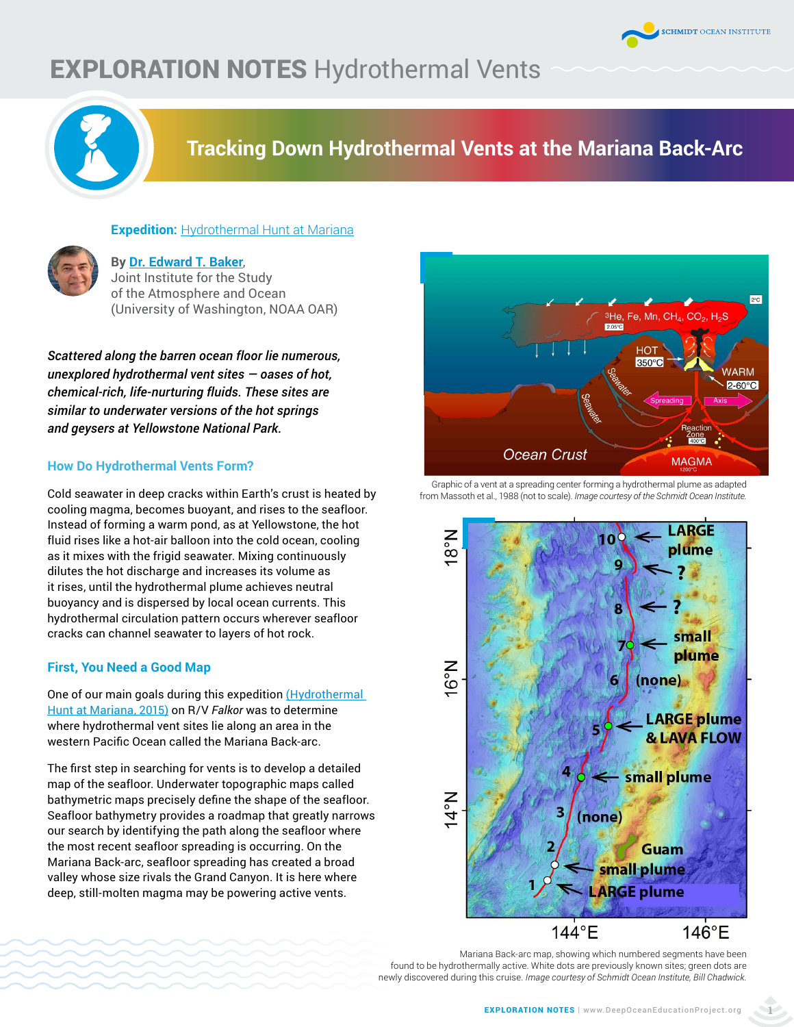

# **EXPLORATION NOTES Hydrothermal Vents**



## **[Tracking Down Hydrothermal Vents at the Mariana Back-Arc](https://schmidtocean.org/cruise-log-post/tracking-down-hydrothermal-vents/  )**



## **By [Dr. Edward T. Baker](https://schmidtocean.org/person/edward-baker/ )**, Joint Institute for the Study of the Atmosphere and Ocean (University of Washington, NOAA OAR)

**Expedition:** [Hydrothermal Hunt at Mariana](https://schmidtocean.org/cruise/hydrothermal-hunt-at-mariana/)

*Scattered along the barren ocean floor lie numerous, unexplored hydrothermal vent sites — oases of hot, chemical-rich, life-nurturing fluids. These sites are similar to underwater versions of the hot springs and geysers at Yellowstone National Park.* 

## **How Do Hydrothermal Vents Form?**

Cold seawater in deep cracks within Earth's crust is heated by cooling magma, becomes buoyant, and rises to the seafloor. Instead of forming a warm pond, as at Yellowstone, the hot fluid rises like a hot-air balloon into the cold ocean, cooling as it mixes with the frigid seawater. Mixing continuously dilutes the hot discharge and increases its volume as it rises, until the hydrothermal plume achieves neutral buoyancy and is dispersed by local ocean currents. This hydrothermal circulation pattern occurs wherever seafloor cracks can channel seawater to layers of hot rock.

## **First, You Need a Good Map**

One of our main goals during this expedition (Hydrothermal [Hunt at Mariana, 2015\)](https://schmidtocean.org/cruise/hydrothermal-hunt-at-mariana/) on R/V *Falkor* was to determine where hydrothermal vent sites lie along an area in the western Pacific Ocean called the Mariana Back-arc.

The first step in searching for vents is to develop a detailed map of the seafloor. Underwater topographic maps called bathymetric maps precisely define the shape of the seafloor. Seafloor bathymetry provides a roadmap that greatly narrows our search by identifying the path along the seafloor where the most recent seafloor spreading is occurring. On the Mariana Back-arc, seafloor spreading has created a broad valley whose size rivals the Grand Canyon. It is here where deep, still-molten magma may be powering active vents.



#### Graphic of a vent at a spreading center forming a hydrothermal plume as adapted from Massoth et al., 1988 (not to scale). *[Image courtesy of the Schmidt Ocean Institute.](https://schmidtocean.org/wp-content/uploads/fk151121-guam-20151210-chadwick-backarcmap-lores.jpg)*



Mariana Back-arc map, showing which numbered segments have been found to be hydrothermally active. White dots are previously known sites; green dots are newly discovered during this cruise. *Image courtesy of Schmidt Ocean Institute, Bill Chadwick.*

**1**